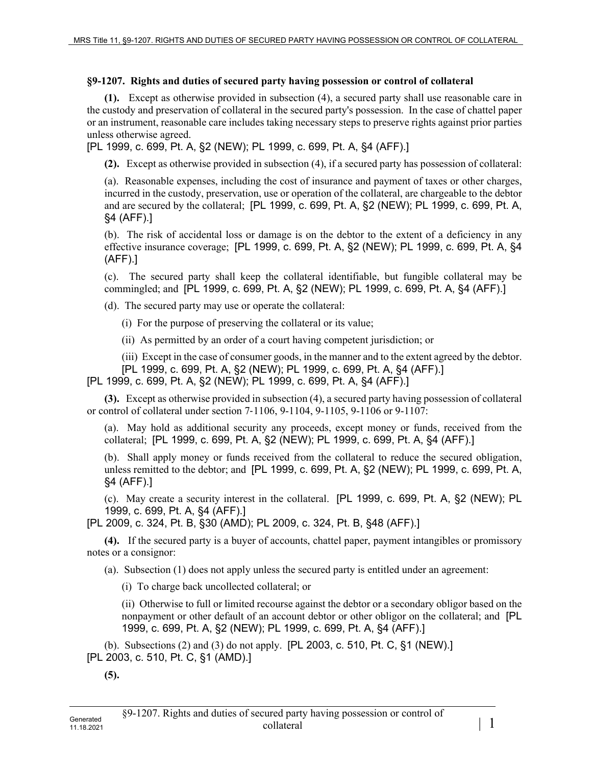## **§9-1207. Rights and duties of secured party having possession or control of collateral**

**(1).** Except as otherwise provided in subsection (4), a secured party shall use reasonable care in the custody and preservation of collateral in the secured party's possession. In the case of chattel paper or an instrument, reasonable care includes taking necessary steps to preserve rights against prior parties unless otherwise agreed.

[PL 1999, c. 699, Pt. A, §2 (NEW); PL 1999, c. 699, Pt. A, §4 (AFF).]

**(2).** Except as otherwise provided in subsection (4), if a secured party has possession of collateral:

(a). Reasonable expenses, including the cost of insurance and payment of taxes or other charges, incurred in the custody, preservation, use or operation of the collateral, are chargeable to the debtor and are secured by the collateral; [PL 1999, c. 699, Pt. A, §2 (NEW); PL 1999, c. 699, Pt. A, §4 (AFF).]

(b). The risk of accidental loss or damage is on the debtor to the extent of a deficiency in any effective insurance coverage; [PL 1999, c. 699, Pt. A, §2 (NEW); PL 1999, c. 699, Pt. A, §4 (AFF).]

(c). The secured party shall keep the collateral identifiable, but fungible collateral may be commingled; and [PL 1999, c. 699, Pt. A, §2 (NEW); PL 1999, c. 699, Pt. A, §4 (AFF).]

(d). The secured party may use or operate the collateral:

(i) For the purpose of preserving the collateral or its value;

(ii) As permitted by an order of a court having competent jurisdiction; or

(iii) Except in the case of consumer goods, in the manner and to the extent agreed by the debtor.

[PL 1999, c. 699, Pt. A, §2 (NEW); PL 1999, c. 699, Pt. A, §4 (AFF).]

[PL 1999, c. 699, Pt. A, §2 (NEW); PL 1999, c. 699, Pt. A, §4 (AFF).]

**(3).** Except as otherwise provided in subsection (4), a secured party having possession of collateral or control of collateral under section 7‑1106, 9-1104, 9-1105, 9-1106 or 9-1107:

(a). May hold as additional security any proceeds, except money or funds, received from the collateral; [PL 1999, c. 699, Pt. A, §2 (NEW); PL 1999, c. 699, Pt. A, §4 (AFF).]

(b). Shall apply money or funds received from the collateral to reduce the secured obligation, unless remitted to the debtor; and [PL 1999, c. 699, Pt. A, §2 (NEW); PL 1999, c. 699, Pt. A, §4 (AFF).]

(c). May create a security interest in the collateral. [PL 1999, c. 699, Pt. A, §2 (NEW); PL 1999, c. 699, Pt. A, §4 (AFF).]

[PL 2009, c. 324, Pt. B, §30 (AMD); PL 2009, c. 324, Pt. B, §48 (AFF).]

**(4).** If the secured party is a buyer of accounts, chattel paper, payment intangibles or promissory notes or a consignor:

(a). Subsection (1) does not apply unless the secured party is entitled under an agreement:

(i) To charge back uncollected collateral; or

(ii) Otherwise to full or limited recourse against the debtor or a secondary obligor based on the nonpayment or other default of an account debtor or other obligor on the collateral; and [PL 1999, c. 699, Pt. A, §2 (NEW); PL 1999, c. 699, Pt. A, §4 (AFF).]

(b). Subsections (2) and (3) do not apply. [PL 2003, c. 510, Pt. C, §1 (NEW).] [PL 2003, c. 510, Pt. C, §1 (AMD).]

**(5).**